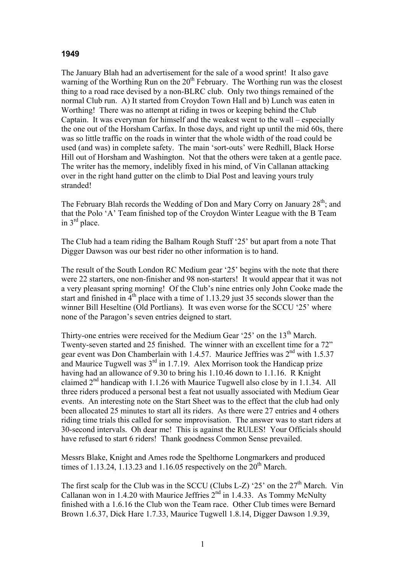## **1949**

The January Blah had an advertisement for the sale of a wood sprint! It also gave warning of the Worthing Run on the 20<sup>th</sup> February. The Worthing run was the closest thing to a road race devised by a non-BLRC club. Only two things remained of the normal Club run. A) It started from Croydon Town Hall and b) Lunch was eaten in Worthing! There was no attempt at riding in twos or keeping behind the Club Captain. It was everyman for himself and the weakest went to the wall – especially the one out of the Horsham Carfax. In those days, and right up until the mid 60s, there was so little traffic on the roads in winter that the whole width of the road could be used (and was) in complete safety. The main 'sort-outs' were Redhill, Black Horse Hill out of Horsham and Washington. Not that the others were taken at a gentle pace. The writer has the memory, indelibly fixed in his mind, of Vin Callanan attacking over in the right hand gutter on the climb to Dial Post and leaving yours truly stranded!

The February Blah records the Wedding of Don and Mary Corry on January  $28<sup>th</sup>$ ; and that the Polo 'A' Team finished top of the Croydon Winter League with the B Team in 3rd place.

The Club had a team riding the Balham Rough Stuff '25' but apart from a note That Digger Dawson was our best rider no other information is to hand.

The result of the South London RC Medium gear '25' begins with the note that there were 22 starters, one non-finisher and 98 non-starters! It would appear that it was not a very pleasant spring morning! Of the Club's nine entries only John Cooke made the start and finished in  $4<sup>th</sup>$  place with a time of 1.13.29 just 35 seconds slower than the winner Bill Heseltine (Old Portlians). It was even worse for the SCCU '25' where none of the Paragon's seven entries deigned to start.

Thirty-one entries were received for the Medium Gear '25' on the  $13<sup>th</sup>$  March. Twenty-seven started and 25 finished. The winner with an excellent time for a 72" gear event was Don Chamberlain with 1.4.57. Maurice Jeffries was 2nd with 1.5.37 and Maurice Tugwell was  $3<sup>rd</sup>$  in 1.7.19. Alex Morrison took the Handicap prize having had an allowance of 9.30 to bring his 1.10.46 down to 1.1.16. R Knight claimed 2nd handicap with 1.1.26 with Maurice Tugwell also close by in 1.1.34. All three riders produced a personal best a feat not usually associated with Medium Gear events. An interesting note on the Start Sheet was to the effect that the club had only been allocated 25 minutes to start all its riders. As there were 27 entries and 4 others riding time trials this called for some improvisation. The answer was to start riders at 30-second intervals. Oh dear me! This is against the RULES! Your Officials should have refused to start 6 riders! Thank goodness Common Sense prevailed.

Messrs Blake, Knight and Ames rode the Spelthorne Longmarkers and produced times of 1.13.24, 1.13.23 and 1.16.05 respectively on the  $20<sup>th</sup>$  March.

The first scalp for the Club was in the SCCU (Clubs L-Z) '25' on the  $27<sup>th</sup>$  March. Vin Callanan won in 1.4.20 with Maurice Jeffries  $2<sup>nd</sup>$  in 1.4.33. As Tommy McNulty finished with a 1.6.16 the Club won the Team race. Other Club times were Bernard Brown 1.6.37, Dick Hare 1.7.33, Maurice Tugwell 1.8.14, Digger Dawson 1.9.39,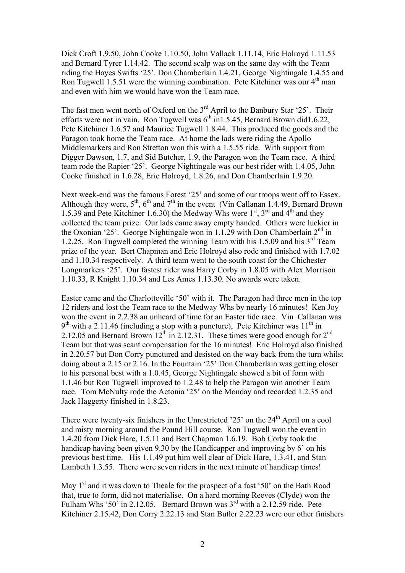Dick Croft 1.9.50, John Cooke 1.10.50, John Vallack 1.11.14, Eric Holroyd 1.11.53 and Bernard Tyrer 1.14.42. The second scalp was on the same day with the Team riding the Hayes Swifts '25'. Don Chamberlain 1.4.21, George Nightingale 1.4.55 and Ron Tugwell 1.5.51 were the winning combination. Pete Kitchiner was our  $4<sup>th</sup>$  man and even with him we would have won the Team race.

The fast men went north of Oxford on the  $3<sup>rd</sup>$  April to the Banbury Star '25'. Their efforts were not in vain. Ron Tugwell was  $6<sup>th</sup>$  in 1.5.45, Bernard Brown did 1.6.22, Pete Kitchiner 1.6.57 and Maurice Tugwell 1.8.44. This produced the goods and the Paragon took home the Team race. At home the lads were riding the Apollo Middlemarkers and Ron Stretton won this with a 1.5.55 ride. With support from Digger Dawson, 1.7, and Sid Butcher, 1.9, the Paragon won the Team race. A third team rode the Rapier '25'. George Nightingale was our best rider with 1.4.05, John Cooke finished in 1.6.28, Eric Holroyd, 1.8.26, and Don Chamberlain 1.9.20.

Next week-end was the famous Forest '25' and some of our troops went off to Essex. Although they were,  $5<sup>th</sup>$ ,  $6<sup>th</sup>$  and  $7<sup>th</sup>$  in the event (Vin Callanan 1.4.49, Bernard Brown 1.5.39 and Pete Kitchiner 1.6.30) the Medway Whs were  $1<sup>st</sup>$ ,  $3<sup>rd</sup>$  and  $4<sup>th</sup>$  and they collected the team prize. Our lads came away empty handed. Others were luckier in the Oxonian '25'. George Nightingale won in 1.1.29 with Don Chamberlain  $2^{nd}$  in 1.2.25. Ron Tugwell completed the winning Team with his 1.5.09 and his  $3<sup>rd</sup>$  Team prize of the year. Bert Chapman and Eric Holroyd also rode and finished with 1.7.02 and 1.10.34 respectively. A third team went to the south coast for the Chichester Longmarkers '25'. Our fastest rider was Harry Corby in 1.8.05 with Alex Morrison 1.10.33, R Knight 1.10.34 and Les Ames 1.13.30. No awards were taken.

Easter came and the Charlotteville '50' with it. The Paragon had three men in the top 12 riders and lost the Team race to the Medway Whs by nearly 16 minutes! Ken Joy won the event in 2.2.38 an unheard of time for an Easter tide race. Vin Callanan was  $9<sup>th</sup>$  with a 2.11.46 (including a stop with a puncture), Pete Kitchiner was 11<sup>th</sup> in 2.12.05 and Bernard Brown  $12^{th}$  in 2.12.31. These times were good enough for  $2^{nd}$ Team but that was scant compensation for the 16 minutes! Eric Holroyd also finished in 2.20.57 but Don Corry punctured and desisted on the way back from the turn whilst doing about a 2.15 or 2.16. In the Fountain '25' Don Chamberlain was getting closer to his personal best with a 1.0.45, George Nightingale showed a bit of form with 1.1.46 but Ron Tugwell improved to 1.2.48 to help the Paragon win another Team race. Tom McNulty rode the Actonia '25' on the Monday and recorded 1.2.35 and Jack Haggerty finished in 1.8.23.

There were twenty-six finishers in the Unrestricted '25' on the 24<sup>th</sup> April on a cool and misty morning around the Pound Hill course. Ron Tugwell won the event in 1.4.20 from Dick Hare, 1.5.11 and Bert Chapman 1.6.19. Bob Corby took the handicap having been given 9.30 by the Handicapper and improving by 6' on his previous best time. His 1.1.49 put him well clear of Dick Hare, 1.3.41, and Stan Lambeth 1.3.55. There were seven riders in the next minute of handicap times!

May  $1<sup>st</sup>$  and it was down to Theale for the prospect of a fast '50' on the Bath Road that, true to form, did not materialise. On a hard morning Reeves (Clyde) won the Fulham Whs '50' in 2.12.05. Bernard Brown was  $3<sup>rd</sup>$  with a 2.12.59 ride. Pete Kitchiner 2.15.42, Don Corry 2.22.13 and Stan Butler 2.22.23 were our other finishers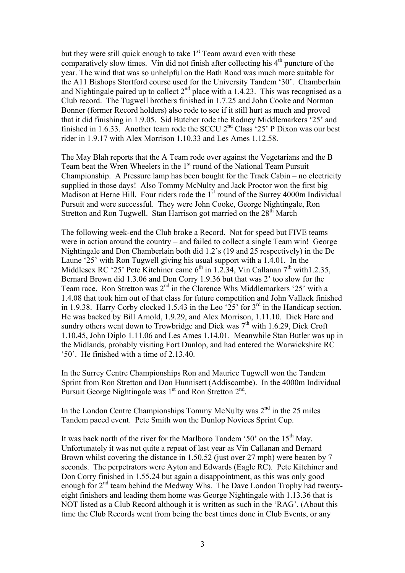but they were still quick enough to take  $1<sup>st</sup>$  Team award even with these comparatively slow times. Vin did not finish after collecting his  $4<sup>th</sup>$  puncture of the year. The wind that was so unhelpful on the Bath Road was much more suitable for the A11 Bishops Stortford course used for the University Tandem '30'. Chamberlain and Nightingale paired up to collect  $2<sup>nd</sup>$  place with a 1.4.23. This was recognised as a Club record. The Tugwell brothers finished in 1.7.25 and John Cooke and Norman Bonner (former Record holders) also rode to see if it still hurt as much and proved that it did finishing in 1.9.05. Sid Butcher rode the Rodney Middlemarkers '25' and finished in 1.6.33. Another team rode the SCCU  $2^{nd}$  Class '25' P Dixon was our best rider in 1.9.17 with Alex Morrison 1.10.33 and Les Ames 1.12.58.

The May Blah reports that the A Team rode over against the Vegetarians and the B Team beat the Wren Wheelers in the 1<sup>st</sup> round of the National Team Pursuit Championship. A Pressure lamp has been bought for the Track Cabin – no electricity supplied in those days! Also Tommy McNulty and Jack Proctor won the first big Madison at Herne Hill. Four riders rode the 1<sup>st</sup> round of the Surrey 4000m Individual Pursuit and were successful. They were John Cooke, George Nightingale, Ron Stretton and Ron Tugwell. Stan Harrison got married on the 28<sup>th</sup> March

The following week-end the Club broke a Record. Not for speed but FIVE teams were in action around the country – and failed to collect a single Team win! George Nightingale and Don Chamberlain both did 1.2's (19 and 25 respectively) in the De Laune '25' with Ron Tugwell giving his usual support with a 1.4.01. In the Middlesex RC '25' Pete Kitchiner came  $6<sup>th</sup>$  in 1.2.34, Vin Callanan 7<sup>th</sup> with1.2.35, Bernard Brown did 1.3.06 and Don Corry 1.9.36 but that was 2' too slow for the Team race. Ron Stretton was 2<sup>nd</sup> in the Clarence Whs Middlemarkers '25' with a 1.4.08 that took him out of that class for future competition and John Vallack finished in 1.9.38. Harry Corby clocked 1.5.43 in the Leo  $25^\circ$  for  $3^{\text{rd}}$  in the Handicap section. He was backed by Bill Arnold, 1.9.29, and Alex Morrison, 1.11.10. Dick Hare and sundry others went down to Trowbridge and Dick was  $7<sup>th</sup>$  with 1.6.29, Dick Croft 1.10.45, John Diplo 1.11.06 and Les Ames 1.14.01. Meanwhile Stan Butler was up in the Midlands, probably visiting Fort Dunlop, and had entered the Warwickshire RC '50'. He finished with a time of 2.13.40.

In the Surrey Centre Championships Ron and Maurice Tugwell won the Tandem Sprint from Ron Stretton and Don Hunnisett (Addiscombe). In the 4000m Individual Pursuit George Nightingale was  $1<sup>st</sup>$  and Ron Stretton  $2<sup>nd</sup>$ .

In the London Centre Championships Tommy McNulty was  $2<sup>nd</sup>$  in the 25 miles Tandem paced event. Pete Smith won the Dunlop Novices Sprint Cup.

It was back north of the river for the Marlboro Tandem '50' on the  $15<sup>th</sup>$  May. Unfortunately it was not quite a repeat of last year as Vin Callanan and Bernard Brown whilst covering the distance in 1.50.52 (just over 27 mph) were beaten by 7 seconds. The perpetrators were Ayton and Edwards (Eagle RC). Pete Kitchiner and Don Corry finished in 1.55.24 but again a disappointment, as this was only good enough for 2<sup>nd</sup> team behind the Medway Whs. The Dave London Trophy had twentyeight finishers and leading them home was George Nightingale with 1.13.36 that is NOT listed as a Club Record although it is written as such in the 'RAG'. (About this time the Club Records went from being the best times done in Club Events, or any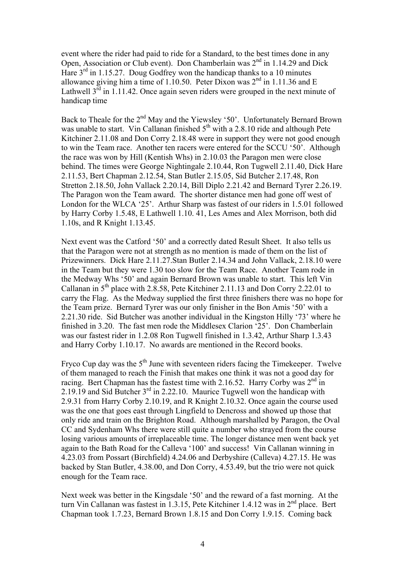event where the rider had paid to ride for a Standard, to the best times done in any Open, Association or Club event). Don Chamberlain was 2<sup>nd</sup> in 1.14.29 and Dick Hare  $3<sup>rd</sup>$  in 1.15.27. Doug Godfrey won the handicap thanks to a 10 minutes allowance giving him a time of 1.10.50. Peter Dixon was  $2<sup>nd</sup>$  in 1.11.36 and E Lathwell  $3<sup>rd</sup>$  in 1.11.42. Once again seven riders were grouped in the next minute of handicap time

Back to Theale for the 2<sup>nd</sup> May and the Yiewsley '50'. Unfortunately Bernard Brown was unable to start. Vin Callanan finished 5<sup>th</sup> with a 2.8.10 ride and although Pete Kitchiner 2.11.08 and Don Corry 2.18.48 were in support they were not good enough to win the Team race. Another ten racers were entered for the SCCU '50'. Although the race was won by Hill (Kentish Whs) in 2.10.03 the Paragon men were close behind. The times were George Nightingale 2.10.44, Ron Tugwell 2.11.40, Dick Hare 2.11.53, Bert Chapman 2.12.54, Stan Butler 2.15.05, Sid Butcher 2.17.48, Ron Stretton 2.18.50, John Vallack 2.20.14, Bill Diplo 2.21.42 and Bernard Tyrer 2.26.19. The Paragon won the Team award. The shorter distance men had gone off west of London for the WLCA '25'. Arthur Sharp was fastest of our riders in 1.5.01 followed by Harry Corby 1.5.48, E Lathwell 1.10. 41, Les Ames and Alex Morrison, both did 1.10s, and R Knight 1.13.45.

Next event was the Catford '50' and a correctly dated Result Sheet. It also tells us that the Paragon were not at strength as no mention is made of them on the list of Prizewinners. Dick Hare 2.11.27.Stan Butler 2.14.34 and John Vallack, 2.18.10 were in the Team but they were 1.30 too slow for the Team Race. Another Team rode in the Medway Whs '50' and again Bernard Brown was unable to start. This left Vin Callanan in  $5<sup>th</sup>$  place with 2.8.58, Pete Kitchiner 2.11.13 and Don Corry 2.22.01 to carry the Flag. As the Medway supplied the first three finishers there was no hope for the Team prize. Bernard Tyrer was our only finisher in the Bon Amis '50' with a 2.21.30 ride. Sid Butcher was another individual in the Kingston Hilly '73' where he finished in 3.20. The fast men rode the Middlesex Clarion '25'. Don Chamberlain was our fastest rider in 1.2.08 Ron Tugwell finished in 1.3.42, Arthur Sharp 1.3.43 and Harry Corby 1.10.17. No awards are mentioned in the Record books.

Fryco Cup day was the  $5<sup>th</sup>$  June with seventeen riders facing the Timekeeper. Twelve of them managed to reach the Finish that makes one think it was not a good day for racing. Bert Chapman has the fastest time with 2.16.52. Harry Corby was  $2<sup>nd</sup>$  in 2.19.19 and Sid Butcher  $3<sup>rd</sup>$  in 2.22.10. Maurice Tugwell won the handicap with 2.9.31 from Harry Corby 2.10.19, and R Knight 2.10.32. Once again the course used was the one that goes east through Lingfield to Dencross and showed up those that only ride and train on the Brighton Road. Although marshalled by Paragon, the Oval CC and Sydenham Whs there were still quite a number who strayed from the course losing various amounts of irreplaceable time. The longer distance men went back yet again to the Bath Road for the Calleva '100' and success! Vin Callanan winning in 4.23.03 from Possart (Birchfield) 4.24.06 and Derbyshire (Calleva) 4.27.15. He was backed by Stan Butler, 4.38.00, and Don Corry, 4.53.49, but the trio were not quick enough for the Team race.

Next week was better in the Kingsdale '50' and the reward of a fast morning. At the turn Vin Callanan was fastest in 1.3.15, Pete Kitchiner 1.4.12 was in 2<sup>nd</sup> place. Bert Chapman took 1.7.23, Bernard Brown 1.8.15 and Don Corry 1.9.15. Coming back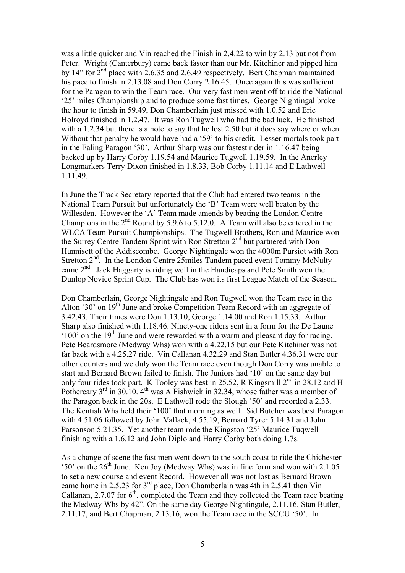was a little quicker and Vin reached the Finish in 2.4.22 to win by 2.13 but not from Peter. Wright (Canterbury) came back faster than our Mr. Kitchiner and pipped him by 14" for  $2<sup>nd</sup>$  place with 2.6.35 and 2.6.49 respectively. Bert Chapman maintained his pace to finish in 2.13.08 and Don Corry 2.16.45. Once again this was sufficient for the Paragon to win the Team race. Our very fast men went off to ride the National '25' miles Championship and to produce some fast times. George Nightingal broke the hour to finish in 59.49, Don Chamberlain just missed with 1.0.52 and Eric Holroyd finished in 1.2.47. It was Ron Tugwell who had the bad luck. He finished with a 1.2.34 but there is a note to say that he lost 2.50 but it does say where or when. Without that penalty he would have had a '59' to his credit. Lesser mortals took part in the Ealing Paragon '30'. Arthur Sharp was our fastest rider in 1.16.47 being backed up by Harry Corby 1.19.54 and Maurice Tugwell 1.19.59. In the Anerley Longmarkers Terry Dixon finished in 1.8.33, Bob Corby 1.11.14 and E Lathwell 1.11.49.

In June the Track Secretary reported that the Club had entered two teams in the National Team Pursuit but unfortunately the 'B' Team were well beaten by the Willesden. However the 'A' Team made amends by beating the London Centre Champions in the  $2<sup>nd</sup>$  Round by 5.9.6 to 5.12.0. A Team will also be entered in the WLCA Team Pursuit Championships. The Tugwell Brothers, Ron and Maurice won the Surrey Centre Tandem Sprint with Ron Stretton 2<sup>nd</sup> but partnered with Don Hunnisett of the Addiscombe. George Nightingale won the 4000m Pursiot with Ron Stretton 2<sup>nd</sup>. In the London Centre 25miles Tandem paced event Tommy McNulty came 2nd. Jack Haggarty is riding well in the Handicaps and Pete Smith won the Dunlop Novice Sprint Cup. The Club has won its first League Match of the Season.

Don Chamberlain, George Nightingale and Ron Tugwell won the Team race in the Alton '30' on  $19<sup>th</sup>$  June and broke Competition Team Record with an aggregate of 3.42.43. Their times were Don 1.13.10, George 1.14.00 and Ron 1.15.33. Arthur Sharp also finished with 1.18.46. Ninety-one riders sent in a form for the De Laune  $100'$  on the 19<sup>th</sup> June and were rewarded with a warm and pleasant day for racing. Pete Beardsmore (Medway Whs) won with a 4.22.15 but our Pete Kitchiner was not far back with a 4.25.27 ride. Vin Callanan 4.32.29 and Stan Butler 4.36.31 were our other counters and we duly won the Team race even though Don Corry was unable to start and Bernard Brown failed to finish. The Juniors had '10' on the same day but only four rides took part. K Tooley was best in 25.52, R Kingsmill  $2<sup>nd</sup>$  in 28.12 and H Pothercary  $3<sup>rd</sup>$  in 30.10.  $4<sup>th</sup>$  was A Fishwick in 32.34, whose father was a member of the Paragon back in the 20s. E Lathwell rode the Slough '50' and recorded a 2.33. The Kentish Whs held their '100' that morning as well. Sid Butcher was best Paragon with 4.51.06 followed by John Vallack, 4.55.19, Bernard Tyrer 5.14.31 and John Parsonson 5.21.35. Yet another team rode the Kingston '25' Maurice Tuqwell finishing with a 1.6.12 and John Diplo and Harry Corby both doing 1.7s.

As a change of scene the fast men went down to the south coast to ride the Chichester '50' on the  $26<sup>th</sup>$  June. Ken Joy (Medway Whs) was in fine form and won with 2.1.05 to set a new course and event Record. However all was not lost as Bernard Brown came home in 2.5.23 for 3rd place, Don Chamberlain was 4th in 2.5.41 then Vin Callanan, 2.7.07 for  $6<sup>th</sup>$ , completed the Team and they collected the Team race beating the Medway Whs by 42". On the same day George Nightingale, 2.11.16, Stan Butler, 2.11.17, and Bert Chapman, 2.13.16, won the Team race in the SCCU '50'. In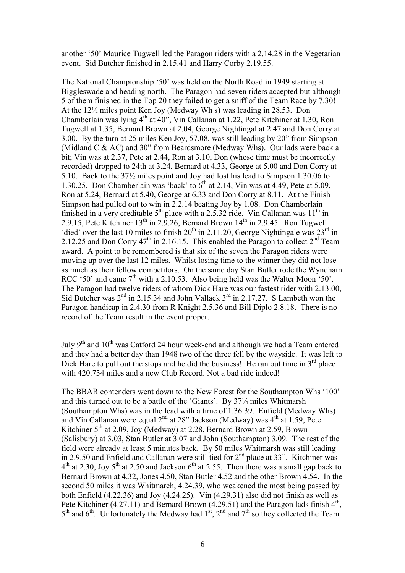another '50' Maurice Tugwell led the Paragon riders with a 2.14.28 in the Vegetarian event. Sid Butcher finished in 2.15.41 and Harry Corby 2.19.55.

The National Championship '50' was held on the North Road in 1949 starting at Biggleswade and heading north. The Paragon had seven riders accepted but although 5 of them finished in the Top 20 they failed to get a sniff of the Team Race by 7.30! At the 12½ miles point Ken Joy (Medway Wh s) was leading in 28.53. Don Chamberlain was lying 4th at 40", Vin Callanan at 1.22, Pete Kitchiner at 1.30, Ron Tugwell at 1.35, Bernard Brown at 2.04, George Nightingal at 2.47 and Don Corry at 3.00. By the turn at 25 miles Ken Joy, 57.08, was still leading by 20" from Simpson (Midland C & AC) and 30" from Beardsmore (Medway Whs). Our lads were back a bit; Vin was at 2.37, Pete at 2.44, Ron at 3.10, Don (whose time must be incorrectly recorded) dropped to 24th at 3.24, Bernard at 4.33, George at 5.00 and Don Corry at 5.10. Back to the 37½ miles point and Joy had lost his lead to Simpson 1.30.06 to 1.30.25. Don Chamberlain was 'back' to  $6<sup>th</sup>$  at 2.14, Vin was at 4.49, Pete at 5.09, Ron at 5.24, Bernard at 5.40, George at 6.33 and Don Corry at 8.11. At the Finish Simpson had pulled out to win in 2.2.14 beating Joy by 1.08. Don Chamberlain finished in a very creditable  $5<sup>th</sup>$  place with a 2.5.32 ride. Vin Callanan was  $11<sup>th</sup>$  in 2.9.15, Pete Kitchiner  $13<sup>th</sup>$  in 2.9.26, Bernard Brown  $14<sup>th</sup>$  in 2.9.45. Ron Tugwell 'died' over the last 10 miles to finish  $20^{th}$  in 2.11.20, George Nightingale was  $23^{rd}$  in 2.12.25 and Don Corry  $47<sup>th</sup>$  in 2.16.15. This enabled the Paragon to collect  $2<sup>nd</sup>$  Team award. A point to be remembered is that six of the seven the Paragon riders were moving up over the last 12 miles. Whilst losing time to the winner they did not lose as much as their fellow competitors. On the same day Stan Butler rode the Wyndham RCC '50' and came  $7<sup>th</sup>$  with a 2.10.53. Also being held was the Walter Moon '50'. The Paragon had twelve riders of whom Dick Hare was our fastest rider with 2.13.00, Sid Butcher was  $2<sup>nd</sup>$  in 2.15.34 and John Vallack  $3<sup>rd</sup>$  in 2.17.27. S Lambeth won the Paragon handicap in 2.4.30 from R Knight 2.5.36 and Bill Diplo 2.8.18. There is no record of the Team result in the event proper.

July 9<sup>th</sup> and 10<sup>th</sup> was Catford 24 hour week-end and although we had a Team entered and they had a better day than 1948 two of the three fell by the wayside. It was left to Dick Hare to pull out the stops and he did the business! He ran out time in  $3<sup>rd</sup>$  place with 420.734 miles and a new Club Record. Not a bad ride indeed!

The BBAR contenders went down to the New Forest for the Southampton Whs '100' and this turned out to be a battle of the 'Giants'. By 37¼ miles Whitmarsh (Southampton Whs) was in the lead with a time of 1.36.39. Enfield (Medway Whs) and Vin Callanan were equal  $2<sup>nd</sup>$  at 28" Jackson (Medway) was  $4<sup>th</sup>$  at 1.59, Pete Kitchiner  $5<sup>th</sup>$  at 2.09, Joy (Medway) at 2.28, Bernard Brown at 2.59, Brown (Salisbury) at 3.03, Stan Butler at 3.07 and John (Southampton) 3.09. The rest of the field were already at least 5 minutes back. By 50 miles Whitmarsh was still leading in 2.9.50 and Enfield and Callanan were still tied for 2nd place at 33". Kitchiner was  $4<sup>th</sup>$  at 2.30, Joy 5<sup>th</sup> at 2.50 and Jackson 6<sup>th</sup> at 2.55. Then there was a small gap back to Bernard Brown at 4.32, Jones 4.50, Stan Butler 4.52 and the other Brown 4.54. In the second 50 miles it was Whitmarch, 4.24.39, who weakened the most being passed by both Enfield (4.22.36) and Joy (4.24.25). Vin (4.29.31) also did not finish as well as Pete Kitchiner (4.27.11) and Bernard Brown (4.29.51) and the Paragon lads finish  $4<sup>th</sup>$ ,  $5<sup>th</sup>$  and  $6<sup>th</sup>$ . Unfortunately the Medway had  $1<sup>st</sup>$ ,  $2<sup>nd</sup>$  and  $7<sup>th</sup>$  so they collected the Team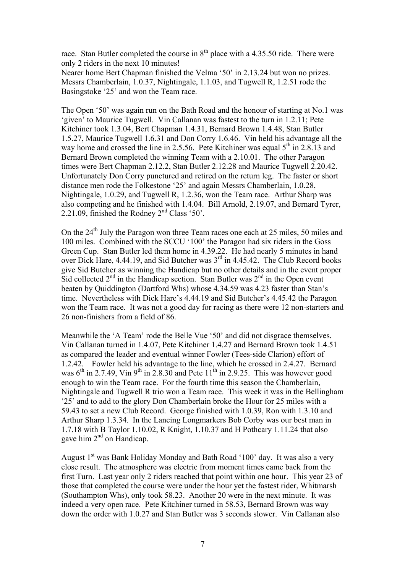race. Stan Butler completed the course in  $8<sup>th</sup>$  place with a 4.35.50 ride. There were only 2 riders in the next 10 minutes!

Nearer home Bert Chapman finished the Velma '50' in 2.13.24 but won no prizes. Messrs Chamberlain, 1.0.37, Nightingale, 1.1.03, and Tugwell R, 1.2.51 rode the Basingstoke '25' and won the Team race.

The Open '50' was again run on the Bath Road and the honour of starting at No.1 was 'given' to Maurice Tugwell. Vin Callanan was fastest to the turn in 1.2.11; Pete Kitchiner took 1.3.04, Bert Chapman 1.4.31, Bernard Brown 1.4.48, Stan Butler 1.5.27, Maurice Tugwell 1.6.31 and Don Corry 1.6.46. Vin held his advantage all the way home and crossed the line in 2.5.56. Pete Kitchiner was equal  $5<sup>th</sup>$  in 2.8.13 and Bernard Brown completed the winning Team with a 2.10.01. The other Paragon times were Bert Chapman 2.12.2, Stan Butler 2.12.28 and Maurice Tugwell 2.20.42. Unfortunately Don Corry punctured and retired on the return leg. The faster or short distance men rode the Folkestone '25' and again Messrs Chamberlain, 1.0.28, Nightingale, 1.0.29, and Tugwell R, 1.2.36, won the Team race. Arthur Sharp was also competing and he finished with 1.4.04. Bill Arnold, 2.19.07, and Bernard Tyrer, 2.21.09, finished the Rodney 2nd Class '50'.

On the 24<sup>th</sup> July the Paragon won three Team races one each at 25 miles, 50 miles and 100 miles. Combined with the SCCU '100' the Paragon had six riders in the Goss Green Cup. Stan Butler led them home in 4.39.22. He had nearly 5 minutes in hand over Dick Hare, 4.44.19, and Sid Butcher was 3<sup>rd</sup> in 4.45.42. The Club Record books give Sid Butcher as winning the Handicap but no other details and in the event proper Sid collected  $2<sup>nd</sup>$  in the Handicap section. Stan Butler was  $2<sup>nd</sup>$  in the Open event beaten by Quiddington (Dartford Whs) whose 4.34.59 was 4.23 faster than Stan's time. Nevertheless with Dick Hare's 4.44.19 and Sid Butcher's 4.45.42 the Paragon won the Team race. It was not a good day for racing as there were 12 non-starters and 26 non-finishers from a field of 86.

Meanwhile the 'A Team' rode the Belle Vue '50' and did not disgrace themselves. Vin Callanan turned in 1.4.07, Pete Kitchiner 1.4.27 and Bernard Brown took 1.4.51 as compared the leader and eventual winner Fowler (Tees-side Clarion) effort of 1.2.42. Fowler held his advantage to the line, which he crossed in 2.4.27. Bernard was  $6<sup>th</sup>$  in 2.7.49, Vin 9<sup>th</sup> in 2.8.30 and Pete  $11<sup>th</sup>$  in 2.9.25. This was however good enough to win the Team race. For the fourth time this season the Chamberlain, Nightingale and Tugwell R trio won a Team race. This week it was in the Bellingham '25' and to add to the glory Don Chamberlain broke the Hour for 25 miles with a 59.43 to set a new Club Record. George finished with 1.0.39, Ron with 1.3.10 and Arthur Sharp 1.3.34. In the Lancing Longmarkers Bob Corby was our best man in 1.7.18 with B Taylor 1.10.02, R Knight, 1.10.37 and H Pothcary 1.11.24 that also gave him  $2<sup>nd</sup>$  on Handicap.

August  $1<sup>st</sup>$  was Bank Holiday Monday and Bath Road '100' day. It was also a very close result. The atmosphere was electric from moment times came back from the first Turn. Last year only 2 riders reached that point within one hour. This year 23 of those that completed the course were under the hour yet the fastest rider, Whitmarsh (Southampton Whs), only took 58.23. Another 20 were in the next minute. It was indeed a very open race. Pete Kitchiner turned in 58.53, Bernard Brown was way down the order with 1.0.27 and Stan Butler was 3 seconds slower. Vin Callanan also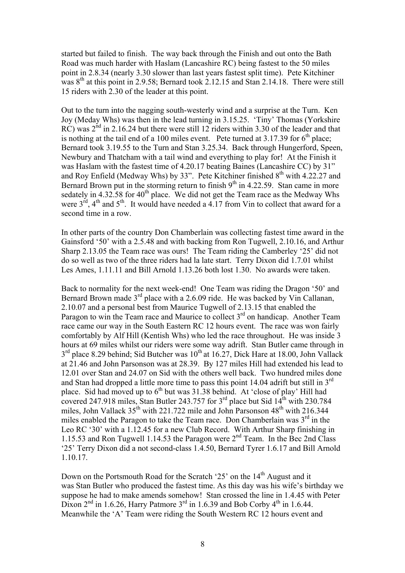started but failed to finish. The way back through the Finish and out onto the Bath Road was much harder with Haslam (Lancashire RC) being fastest to the 50 miles point in 2.8.34 (nearly 3.30 slower than last years fastest split time). Pete Kitchiner was  $8<sup>th</sup>$  at this point in 2.9.58; Bernard took 2.12.15 and Stan 2.14.18. There were still 15 riders with 2.30 of the leader at this point.

Out to the turn into the nagging south-westerly wind and a surprise at the Turn. Ken Joy (Meday Whs) was then in the lead turning in 3.15.25. 'Tiny' Thomas (Yorkshire RC) was  $2<sup>nd</sup>$  in 2.16.24 but there were still 12 riders within 3.30 of the leader and that is nothing at the tail end of a 100 miles event. Pete turned at  $3.17.39$  for  $6<sup>th</sup>$  place; Bernard took 3.19.55 to the Turn and Stan 3.25.34. Back through Hungerford, Speen, Newbury and Thatcham with a tail wind and everything to play for! At the Finish it was Haslam with the fastest time of 4.20.17 beating Baines (Lancashire CC) by 31" and Roy Enfield (Medway Whs) by 33". Pete Kitchiner finished  $8<sup>th</sup>$  with 4.22.27 and Bernard Brown put in the storming return to finish  $9<sup>th</sup>$  in 4.22.59. Stan came in more sedately in  $4.32.58$  for  $40<sup>th</sup>$  place. We did not get the Team race as the Medway Whs were  $3^{\text{rd}}$ ,  $4^{\text{th}}$  and  $5^{\text{th}}$ . It would have needed a 4.17 from Vin to collect that award for a second time in a row.

In other parts of the country Don Chamberlain was collecting fastest time award in the Gainsford '50' with a 2.5.48 and with backing from Ron Tugwell, 2.10.16, and Arthur Sharp 2.13.05 the Team race was ours! The Team riding the Camberley '25' did not do so well as two of the three riders had la late start. Terry Dixon did 1.7.01 whilst Les Ames, 1.11.11 and Bill Arnold 1.13.26 both lost 1.30. No awards were taken.

Back to normality for the next week-end! One Team was riding the Dragon '50' and Bernard Brown made 3<sup>rd</sup> place with a 2.6.09 ride. He was backed by Vin Callanan, 2.10.07 and a personal best from Maurice Tugwell of 2.13.15 that enabled the Paragon to win the Team race and Maurice to collect  $3<sup>rd</sup>$  on handicap. Another Team race came our way in the South Eastern RC 12 hours event. The race was won fairly comfortably by Alf Hill (Kentish Whs) who led the race throughout. He was inside 3 hours at 69 miles whilst our riders were some way adrift. Stan Butler came through in  $3<sup>rd</sup>$  place 8.29 behind; Sid Butcher was  $10<sup>th</sup>$  at 16.27, Dick Hare at 18.00, John Vallack at 21.46 and John Parsonson was at 28.39. By 127 miles Hill had extended his lead to 12.01 over Stan and 24.07 on Sid with the others well back. Two hundred miles done and Stan had dropped a little more time to pass this point 14.04 adrift but still in  $3<sup>rd</sup>$ place. Sid had moved up to  $6<sup>th</sup>$  but was 31.38 behind. At 'close of play' Hill had covered 247.918 miles, Stan Butler 243.757 for  $3<sup>rd</sup>$  place but Sid  $14<sup>th</sup>$  with 230.784 miles, John Vallack  $35^{th}$  with 221.722 mile and John Parsonson  $48^{th}$  with 216.344 miles enabled the Paragon to take the Team race. Don Chamberlain was  $3<sup>rd</sup>$  in the Leo RC '30' with a 1.12.45 for a new Club Record. With Arthur Sharp finishing in 1.15.53 and Ron Tugwell 1.14.53 the Paragon were 2nd Team. In the Bec 2nd Class '25' Terry Dixon did a not second-class 1.4.50, Bernard Tyrer 1.6.17 and Bill Arnold 1.10.17.

Down on the Portsmouth Road for the Scratch '25' on the 14<sup>th</sup> August and it was Stan Butler who produced the fastest time. As this day was his wife's birthday we suppose he had to make amends somehow! Stan crossed the line in 1.4.45 with Peter Dixon  $2<sup>nd</sup>$  in 1.6.26, Harry Patmore  $3<sup>rd</sup>$  in 1.6.39 and Bob Corby  $4<sup>th</sup>$  in 1.6.44. Meanwhile the 'A' Team were riding the South Western RC 12 hours event and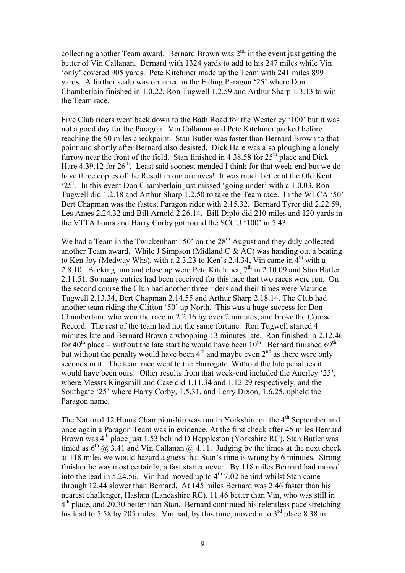collecting another Team award. Bernard Brown was  $2<sup>nd</sup>$  in the event just getting the better of Vin Callanan. Bernard with 1324 yards to add to his 247 miles while Vin 'only' covered 905 yards. Pete Kitchiner made up the Team with 241 miles 899 yards. A further scalp was obtained in the Ealing Paragon '25' where Don Chamberlain finished in 1.0.22, Ron Tugwell 1.2.59 and Arthur Sharp 1.3.13 to win the Team race.

Five Club riders went back down to the Bath Road for the Westerley '100' but it was not a good day for the Paragon. Vin Callanan and Pete Kitchiner packed before reaching the 50 miles checkpoint. Stan Butler was faster than Bernard Brown to that point and shortly after Bernard also desisted. Dick Hare was also ploughing a lonely furrow near the front of the field. Stan finished in  $4.38.58$  for  $25<sup>th</sup>$  place and Dick Hare  $4.39.12$  for  $26<sup>th</sup>$ . Least said soonest mended I think for that week-end but we do have three copies of the Result in our archives! It was much better at the Old Kent '25'. In this event Don Chamberlain just missed 'going under' with a 1.0.03, Ron Tugwell did 1.2.18 and Arthur Sharp 1.2.50 to take the Team race. In the WLCA '50' Bert Chapman was the fastest Paragon rider with 2.15.32. Bernard Tyrer did 2.22.59, Les Ames 2.24.32 and Bill Arnold 2.26.14. Bill Diplo did 210 miles and 120 yards in the VTTA hours and Harry Corby got round the SCCU '100' in 5.43.

We had a Team in the Twickenham '50' on the  $28<sup>th</sup>$  August and they duly collected another Team award. While J Simpson (Midland C  $\&$  AC) was handing out a beating to Ken Joy (Medway Whs), with a  $2.3.23$  to Ken's 2.4.34, Vin came in  $4<sup>th</sup>$  with a 2.8.10. Backing him and close up were Pete Kitchiner,  $7<sup>th</sup>$  in 2.10.09 and Stan Butler 2.11.51. So many entries had been received for this race that two races were run. On the second course the Club had another three riders and their times were Maurice Tugwell 2.13.34, Bert Chapman 2.14.55 and Arthur Sharp 2.18.14. The Club had another team riding the Clifton '50' up North. This was a huge success for Don Chamberlain, who won the race in 2.2.16 by over 2 minutes, and broke the Course Record. The rest of the team had not the same fortune. Ron Tugwell started 4 minutes late and Bernard Brown a whopping 13 minutes late. Ron finished in 2.12.46 for  $40<sup>th</sup>$  place – without the late start he would have been  $10<sup>th</sup>$ . Bernard finished  $69<sup>th</sup>$ but without the penalty would have been  $4<sup>th</sup>$  and maybe even  $2<sup>nd</sup>$  as there were only seconds in it. The team race went to the Harrogate. Without the late penalties it would have been ours! Other results from that week-end included the Anerley '25', where Messrs Kingsmill and Case did 1.11.34 and 1.12.29 respectively, and the Southgate '25' where Harry Corby, 1.5.31, and Terry Dixon, 1.6.25, upheld the Paragon name.

The National 12 Hours Championship was run in Yorkshire on the 4<sup>th</sup> September and once again a Paragon Team was in evidence. At the first check after 45 miles Bernard Brown was  $4<sup>th</sup>$  place just 1.53 behind D Heppleston (Yorkshire RC), Stan Butler was timed as  $6<sup>th</sup>$  (a) 3.41 and Vin Callanan (a) 4.11. Judging by the times at the next check at 118 miles we would hazard a guess that Stan's time is wrong by 6 minutes. Strong finisher he was most certainly; a fast starter never. By 118 miles Bernard had moved into the lead in 5.24.56. Vin had moved up to  $4<sup>th</sup>$  7.02 behind whilst Stan came through 12.44 slower than Bernard. At 145 miles Bernard was 2.46 faster than his nearest challenger, Haslam (Lancashire RC), 11.46 better than Vin, who was still in  $4<sup>th</sup>$  place, and 20.30 better than Stan. Bernard continued his relentless pace stretching his lead to 5.58 by 205 miles. Vin had, by this time, moved into  $3<sup>rd</sup>$  place 8.38 in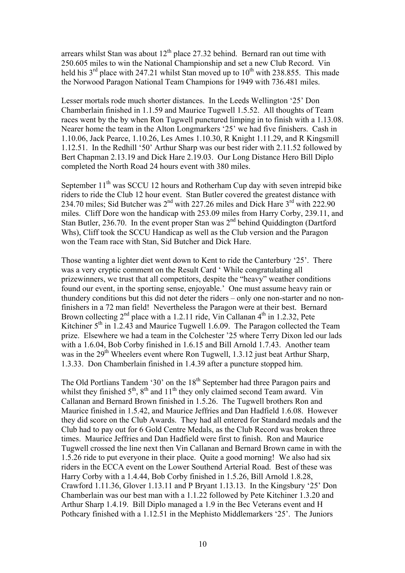arrears whilst Stan was about  $12<sup>th</sup>$  place 27.32 behind. Bernard ran out time with 250.605 miles to win the National Championship and set a new Club Record. Vin held his  $3<sup>rd</sup>$  place with 247.21 whilst Stan moved up to  $10<sup>th</sup>$  with 238.855. This made the Norwood Paragon National Team Champions for 1949 with 736.481 miles.

Lesser mortals rode much shorter distances. In the Leeds Wellington '25' Don Chamberlain finished in 1.1.59 and Maurice Tugwell 1.5.52. All thoughts of Team races went by the by when Ron Tugwell punctured limping in to finish with a 1.13.08. Nearer home the team in the Alton Longmarkers '25' we had five finishers. Cash in 1.10.06, Jack Pearce, 1.10.26, Les Ames 1.10.30, R Knight 1.11.29, and R Kingsmill 1.12.51. In the Redhill '50' Arthur Sharp was our best rider with 2.11.52 followed by Bert Chapman 2.13.19 and Dick Hare 2.19.03. Our Long Distance Hero Bill Diplo completed the North Road 24 hours event with 380 miles.

September  $11<sup>th</sup>$  was SCCU 12 hours and Rotherham Cup day with seven intrepid bike riders to ride the Club 12 hour event. Stan Butler covered the greatest distance with 234.70 miles; Sid Butcher was 2<sup>nd</sup> with 227.26 miles and Dick Hare 3<sup>rd</sup> with 222.90 miles. Cliff Dore won the handicap with 253.09 miles from Harry Corby, 239.11, and Stan Butler, 236.70. In the event proper Stan was  $2<sup>nd</sup>$  behind Quiddington (Dartford Whs), Cliff took the SCCU Handicap as well as the Club version and the Paragon won the Team race with Stan, Sid Butcher and Dick Hare.

Those wanting a lighter diet went down to Kent to ride the Canterbury '25'. There was a very cryptic comment on the Result Card ' While congratulating all prizewinners, we trust that all competitors, despite the "heavy" weather conditions found our event, in the sporting sense, enjoyable.' One must assume heavy rain or thundery conditions but this did not deter the riders – only one non-starter and no nonfinishers in a 72 man field! Nevertheless the Paragon were at their best. Bernard Brown collecting  $2^{nd}$  place with a 1.2.11 ride, Vin Callanan  $4^{th}$  in 1.2.32, Pete Kitchiner  $5<sup>th</sup>$  in 1.2.43 and Maurice Tugwell 1.6.09. The Paragon collected the Team prize. Elsewhere we had a team in the Colchester '25 where Terry Dixon led our lads with a 1.6.04, Bob Corby finished in 1.6.15 and Bill Arnold 1.7.43. Another team was in the  $29<sup>th</sup>$  Wheelers event where Ron Tugwell, 1.3.12 just beat Arthur Sharp, 1.3.33. Don Chamberlain finished in 1.4.39 after a puncture stopped him.

The Old Portlians Tandem '30' on the 18<sup>th</sup> September had three Paragon pairs and whilst they finished  $5<sup>th</sup>$ ,  $8<sup>th</sup>$  and  $11<sup>th</sup>$  they only claimed second Team award. Vin Callanan and Bernard Brown finished in 1.5.26. The Tugwell brothers Ron and Maurice finished in 1.5.42, and Maurice Jeffries and Dan Hadfield 1.6.08. However they did score on the Club Awards. They had all entered for Standard medals and the Club had to pay out for 6 Gold Centre Medals, as the Club Record was broken three times. Maurice Jeffries and Dan Hadfield were first to finish. Ron and Maurice Tugwell crossed the line next then Vin Callanan and Bernard Brown came in with the 1.5.26 ride to put everyone in their place. Quite a good morning! We also had six riders in the ECCA event on the Lower Southend Arterial Road. Best of these was Harry Corby with a 1.4.44, Bob Corby finished in 1.5.26, Bill Arnold 1.8.28, Crawford 1.11.36, Glover 1.13.11 and P Bryant 1.13.13. In the Kingsbury '25' Don Chamberlain was our best man with a 1.1.22 followed by Pete Kitchiner 1.3.20 and Arthur Sharp 1.4.19. Bill Diplo managed a 1.9 in the Bec Veterans event and H Pothcary finished with a 1.12.51 in the Mephisto Middlemarkers '25'. The Juniors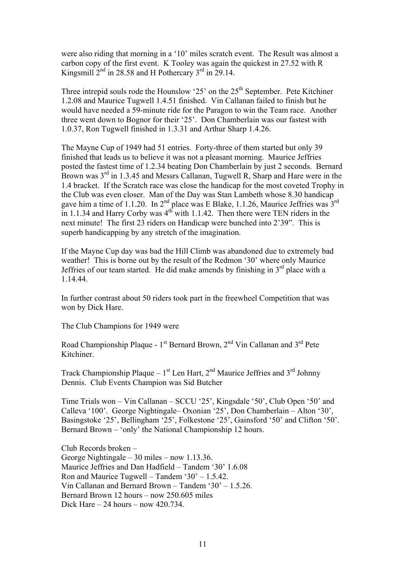were also riding that morning in a '10' miles scratch event. The Result was almost a carbon copy of the first event. K Tooley was again the quickest in 27.52 with R Kingsmill  $2^{nd}$  in 28.58 and H Pothercary  $3^{rd}$  in 29.14.

Three intrepid souls rode the Hounslow '25' on the  $25<sup>th</sup>$  September. Pete Kitchiner 1.2.08 and Maurice Tugwell 1.4.51 finished. Vin Callanan failed to finish but he would have needed a 59-minute ride for the Paragon to win the Team race. Another three went down to Bognor for their '25'. Don Chamberlain was our fastest with 1.0.37, Ron Tugwell finished in 1.3.31 and Arthur Sharp 1.4.26.

The Mayne Cup of 1949 had 51 entries. Forty-three of them started but only 39 finished that leads us to believe it was not a pleasant morning. Maurice Jeffries posted the fastest time of 1.2.34 beating Don Chamberlain by just 2 seconds. Bernard Brown was 3<sup>rd</sup> in 1.3.45 and Messrs Callanan, Tugwell R, Sharp and Hare were in the 1.4 bracket. If the Scratch race was close the handicap for the most coveted Trophy in the Club was even closer. Man of the Day was Stan Lambeth whose 8.30 handicap gave him a time of 1.1.20. In 2<sup>nd</sup> place was E Blake, 1.1.26, Maurice Jeffries was  $3^{rd}$ in 1.1.34 and Harry Corby was  $4<sup>th</sup>$  with 1.1.42. Then there were TEN riders in the next minute! The first 23 riders on Handicap were bunched into 2'39". This is superb handicapping by any stretch of the imagination.

If the Mayne Cup day was bad the Hill Climb was abandoned due to extremely bad weather! This is borne out by the result of the Redmon '30' where only Maurice Jeffries of our team started. He did make amends by finishing in  $3<sup>rd</sup>$  place with a 1.14.44.

In further contrast about 50 riders took part in the freewheel Competition that was won by Dick Hare.

The Club Champions for 1949 were

Road Championship Plaque -  $1<sup>st</sup>$  Bernard Brown,  $2<sup>nd</sup>$  Vin Callanan and  $3<sup>rd</sup>$  Pete Kitchiner.

Track Championship Plaque –  $1<sup>st</sup>$  Len Hart,  $2<sup>nd</sup>$  Maurice Jeffries and  $3<sup>rd</sup>$  Johnny Dennis. Club Events Champion was Sid Butcher

Time Trials won – Vin Callanan – SCCU '25', Kingsdale '50', Club Open '50' and Calleva '100'. George Nightingale– Oxonian '25', Don Chamberlain – Alton '30', Basingstoke '25', Bellingham '25', Folkestone '25', Gainsford '50' and Clifton '50'. Bernard Brown – 'only' the National Championship 12 hours.

Club Records broken – George Nightingale – 30 miles – now 1.13.36. Maurice Jeffries and Dan Hadfield – Tandem '30' 1.6.08 Ron and Maurice Tugwell – Tandem '30' – 1.5.42. Vin Callanan and Bernard Brown – Tandem '30' – 1.5.26. Bernard Brown 12 hours – now 250.605 miles Dick Hare  $-24$  hours  $-$  now 420.734.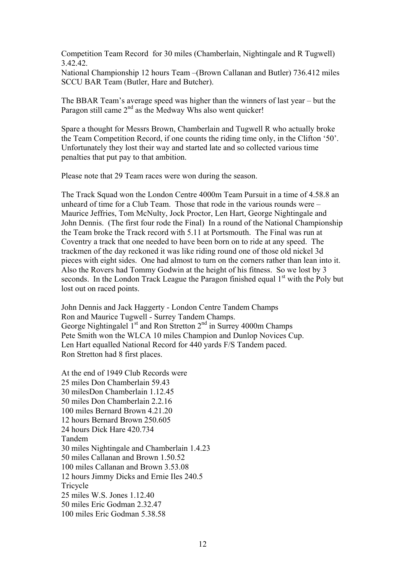Competition Team Record for 30 miles (Chamberlain, Nightingale and R Tugwell) 3.42.42.

National Championship 12 hours Team –(Brown Callanan and Butler) 736.412 miles SCCU BAR Team (Butler, Hare and Butcher).

The BBAR Team's average speed was higher than the winners of last year – but the Paragon still came  $2<sup>nd</sup>$  as the Medway Whs also went quicker!

Spare a thought for Messrs Brown, Chamberlain and Tugwell R who actually broke the Team Competition Record, if one counts the riding time only, in the Clifton '50'. Unfortunately they lost their way and started late and so collected various time penalties that put pay to that ambition.

Please note that 29 Team races were won during the season.

The Track Squad won the London Centre 4000m Team Pursuit in a time of 4.58.8 an unheard of time for a Club Team. Those that rode in the various rounds were – Maurice Jeffries, Tom McNulty, Jock Proctor, Len Hart, George Nightingale and John Dennis. (The first four rode the Final) In a round of the National Championship the Team broke the Track record with 5.11 at Portsmouth. The Final was run at Coventry a track that one needed to have been born on to ride at any speed. The trackmen of the day reckoned it was like riding round one of those old nickel 3d pieces with eight sides. One had almost to turn on the corners rather than lean into it. Also the Rovers had Tommy Godwin at the height of his fitness. So we lost by 3 seconds. In the London Track League the Paragon finished equal  $1<sup>st</sup>$  with the Poly but lost out on raced points.

John Dennis and Jack Haggerty - London Centre Tandem Champs Ron and Maurice Tugwell - Surrey Tandem Champs. George Nightingalel  $I<sup>st</sup>$  and Ron Stretton  $2<sup>nd</sup>$  in Surrey 4000m Champs Pete Smith won the WLCA 10 miles Champion and Dunlop Novices Cup. Len Hart equalled National Record for 440 yards F/S Tandem paced. Ron Stretton had 8 first places.

At the end of 1949 Club Records were 25 miles Don Chamberlain 59.43 30 milesDon Chamberlain 1.12.45 50 miles Don Chamberlain 2.2.16 100 miles Bernard Brown 4.21.20 12 hours Bernard Brown 250.605 24 hours Dick Hare 420.734 Tandem 30 miles Nightingale and Chamberlain 1.4.23 50 miles Callanan and Brown 1.50.52 100 miles Callanan and Brown 3.53.08 12 hours Jimmy Dicks and Ernie Iles 240.5 **Tricycle** 25 miles W.S. Jones 1.12.40 50 miles Eric Godman 2.32.47 100 miles Eric Godman 5.38.58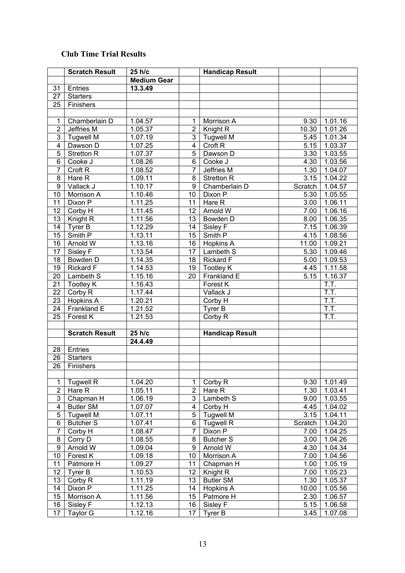## **Club Time Trial Results**

|                  | <b>Scratch Result</b> | 25 h/c             |                       | <b>Handicap Result</b> |               |                    |
|------------------|-----------------------|--------------------|-----------------------|------------------------|---------------|--------------------|
|                  |                       | <b>Medium Gear</b> |                       |                        |               |                    |
| 31               | Entries               | 13.3.49            |                       |                        |               |                    |
| 27               | <b>Starters</b>       |                    |                       |                        |               |                    |
| 25               | Finishers             |                    |                       |                        |               |                    |
|                  |                       |                    |                       |                        |               |                    |
| $\mathbf{1}$     | Chamberlain D         | 1.04.57            | 1                     | Morrison A             | 9.30          | 1.01.16            |
| $\overline{2}$   | Jeffries M            | 1.05.37            | $\overline{2}$        | Knight R               | 10.30         | 1.01.26            |
| 3                | <b>Tugwell M</b>      | 1.07.19            | 3                     | <b>Tugwell M</b>       | 5.45          | 1.01.34            |
| 4                | Dawson D              | 1.07.25            | 4                     | Croft <sub>R</sub>     | 5.15          | 1.03.37            |
| 5                | <b>Stretton R</b>     | 1.07.37            | 5                     | Dawson D               | 3.30          | 1.03.55            |
| 6                | Cooke J               | 1.08.26            | 6                     | Cooke J                | 4.30          | 1.03.56            |
| $\overline{7}$   | Croft <sub>R</sub>    | 1.08.52            | 7                     | Jeffries M             | 1.30          | 1.04.07            |
| 8                | Hare R                | 1.09.11            | 8                     | <b>Stretton R</b>      | 3.15          | 1.04.22            |
| $\boldsymbol{9}$ | Vallack J             | 1.10.17            | 9                     | Chamberlain D          | Scratch       | 1.04.57            |
| 10               | Morrison A            | 1.10.46            | 10                    | Dixon P                | 5.30          | 1.05.55            |
| 11               | Dixon P               | 1.11.25            | 11                    | Hare R                 | 3.00          | 1.06.11            |
| 12               | Corby H               | 1.11.45            | 12                    | Arnold W               | 7.00          | 1.06.16            |
| 13               | Knight R              | 1.11.56            | 13                    | Bowden D               | 8.00          | 1.06.35            |
| 14               | Tyrer B               | 1.12.29            | 14                    | Sisley F               | 7.15          | 1.06.39            |
| 15               | Smith P               | 1.13.11            | 15                    | Smith P                | 4.15          | 1.08.56            |
| 16               | Arnold W              | 1.13.16            | 16                    | Hopkins A              | 11.00         | 1.09.21            |
| 17               | Sisley F              | 1.13.54            | 17                    | Lambeth S              | 5.30          | 1.09.46            |
| 18               | Bowden D              | 1.14.35            | 18                    | Rickard F              | 5.00          | 1.09.53            |
| 19               | <b>Rickard F</b>      | 1.14.53            | 19                    | <b>Tootley K</b>       | 4.45          | 1.11.58            |
| 20               | Lambeth S             | 1.15.16            | 20                    | Frankland E            | 5.15          | 1.16.37            |
| 21               | <b>Tootley K</b>      | 1.16.43            |                       | Forest K               |               | T.T.               |
| 22               | Corby R               | 1.17.44            |                       | Vallack J              |               | T.T.               |
| 23               | Hopkins A             | 1.20.21            |                       | Corby H                |               | T.T.               |
| 24               | Frankland E           | 1.21.52            |                       | Tyrer B                |               | T.T.               |
| 25               | Forest K              | 1.21.53            |                       | Corby R                |               | T.T.               |
|                  |                       |                    |                       |                        |               |                    |
|                  | <b>Scratch Result</b> | 25 h/c             |                       | <b>Handicap Result</b> |               |                    |
|                  |                       | 24.4.49            |                       |                        |               |                    |
| 28               | Entries               |                    |                       |                        |               |                    |
| 26               | <b>Starters</b>       |                    |                       |                        |               |                    |
| $\overline{26}$  | Finishers             |                    |                       |                        |               |                    |
|                  |                       |                    |                       |                        |               |                    |
| 1                | <b>Tugwell R</b>      | 1.04.20            | 1                     | Corby R                | 9.30          | 1.01.49            |
| $\overline{c}$   | Hare R                | 1.05.11            | $\overline{2}$        | Hare R                 | 1.30          | 1.03.41            |
| 3                | Chapman H             | 1.06.19            | 3                     | Lambeth S              | 9.00          | 1.03.55            |
| 4                | <b>Butler SM</b>      | 1.07.07            | 4                     | Corby H                | 4.45          | 1.04.02            |
| 5                | <b>Tugwell M</b>      | 1.07.11            | 5                     | <b>Tugwell M</b>       | 3.15          | 1.04.11            |
| 6                | <b>Butcher S</b>      | 1.07.41            | 6                     | <b>Tugwell R</b>       | Scratch       | 1.04.20            |
| $\overline{7}$   | Corby H               | 1.08.47            | 7                     | Dixon P                | 7.00          | 1.04.25            |
| 8                | Corry D               | 1.08.55            | 8                     | <b>Butcher S</b>       | 3.00          | 1.04.26            |
| 9                | Arnold W              | 1.09.04            | 9                     | Arnold W               | 4.30          | 1.04.34            |
| 10               | Forest K              | 1.09.18            | 10                    | Morrison A             | 7.00          | 1.04.56            |
| 11               | Patmore H             | 1.09.27            | 11                    | Chapman H              | 1.00          | 1.05.19            |
| 12               | Tyrer B               | 1.10.53            | 12 <sup>°</sup>       | Knight R               | 7.00          | 1.05.23            |
| 13<br>14         | Corby R<br>Dixon P    | 1.11.19            | 13                    | <b>Butler SM</b>       | 1.30          | 1.05.37            |
| 15               | Morrison A            | 1.11.25<br>1.11.56 | 14<br>15 <sub>1</sub> | Hopkins A<br>Patmore H | 10.00<br>2.30 | 1.05.56<br>1.06.57 |
| 16               | Sisley F              | 1.12.13            | 16                    | Sisley F               | 5.15          | 1.06.58            |
| 17               | Taylor G              | 1.12.16            | 17                    | Tyrer B                | 3.45          | 1.07.08            |
|                  |                       |                    |                       |                        |               |                    |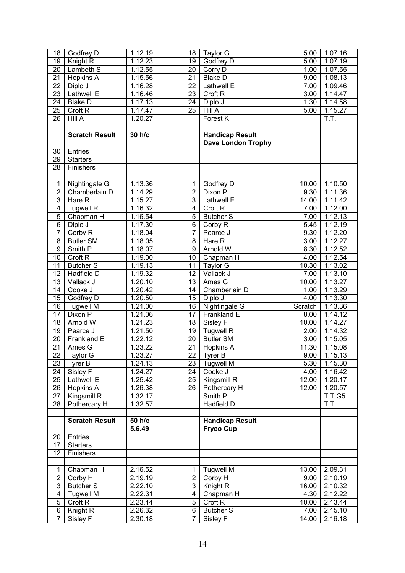| 18                  | Godfrey D             | 1.12.19            | 18              | Taylor G                  | 5.00                     | 1.07.16              |
|---------------------|-----------------------|--------------------|-----------------|---------------------------|--------------------------|----------------------|
| 19                  | Knight R              | 1.12.23            | 19              | Godfrey D                 | 5.00                     | 1.07.19              |
| 20                  | Lambeth S             | 1.12.55            | 20              | Corry D                   | 1.00                     | 1.07.55              |
| 21                  | <b>Hopkins A</b>      | 1.15.56            | 21              | <b>Blake D</b>            | 9.00                     | 1.08.13              |
| 22                  | Diplo J               | 1.16.28            | 22              | Lathwell E                | 7.00                     | 1.09.46              |
| $\overline{23}$     | Lathwell E            | 1.16.46            | 23              | Croft <sub>R</sub>        | $\overline{3.00}$        | 1.14.47              |
| 24                  | <b>Blake D</b>        | 1.17.13            | 24              | Diplo J                   | 1.30                     | 1.14.58              |
| 25                  | Croft <sub>R</sub>    | 1.17.47            | 25              | <b>Hill A</b>             | $\overline{5.00}$        | 1.15.27              |
| 26                  | Hill A                | 1.20.27            |                 | Forest K                  |                          | T.T.                 |
|                     |                       |                    |                 |                           |                          |                      |
|                     | <b>Scratch Result</b> | 30 h/c             |                 | <b>Handicap Result</b>    |                          |                      |
|                     |                       |                    |                 | <b>Dave London Trophy</b> |                          |                      |
| 30                  | Entries               |                    |                 |                           |                          |                      |
| 29                  | <b>Starters</b>       |                    |                 |                           |                          |                      |
| 28                  | Finishers             |                    |                 |                           |                          |                      |
|                     |                       |                    |                 |                           |                          |                      |
| 1                   | Nightingale G         | 1.13.36            | $\mathbf{1}$    | Godfrey D                 | 10.00                    | 1.10.50              |
| $\overline{2}$      | Chamberlain D         | 1.14.29            | $\overline{2}$  | Dixon P                   | 9.30                     | 1.11.36              |
| $\overline{3}$      | Hare R                | 1.15.27            | $\overline{3}$  | Lathwell E                | 14.00                    | 1.11.42              |
|                     |                       |                    |                 | Croft <sub>R</sub>        |                          |                      |
| 4<br>$\overline{5}$ | <b>Tugwell R</b>      | 1.16.32<br>1.16.54 | 4<br>5          | <b>Butcher S</b>          | 7.00<br>$\frac{1}{7.00}$ | 1.12.00<br>1.12.13   |
| $\overline{6}$      | Chapman H             |                    | 6               |                           | 5.45                     |                      |
| $\overline{7}$      | Diplo J               | 1.17.30            | $\overline{7}$  | Corby R                   |                          | 1.12.19              |
|                     | Corby R               | 1.18.04            |                 | Pearce J                  | 9.30                     | 1.12.20              |
| $\overline{8}$      | <b>Butler SM</b>      | 1.18.05            | 8               | Hare R                    | $\overline{3.00}$        | 1.12.27              |
| $\overline{9}$      | Smith P               | 1.18.07            | 9               | Arnold W                  | 8.30                     | 1.12.52              |
| 10                  | Croft <sub>R</sub>    | 1.19.00            | 10              | Chapman H                 | 4.00                     | 1.12.54              |
| 11                  | <b>Butcher S</b>      | 1.19.13            | 11              | Taylor G                  | 10.30                    | $\overline{1.13.02}$ |
| 12                  | Hadfield D            | 1.19.32            | 12              | Vallack J                 | 7.00                     | 1.13.10              |
| 13                  | Vallack J             | 1.20.10            | 13              | Ames G                    | 10.00                    | 1.13.27              |
| 14                  | Cooke J               | 1.20.42            | 14              | Chamberlain D             | 1.00                     | 1.13.29              |
| 15                  | Godfrey D             | 1.20.50            | 15              | Diplo J                   | 4.00                     | 1.13.30              |
| 16                  | <b>Tugwell M</b>      | 1.21.00            | 16              | Nightingale G             | Scratch                  | 1.13.36              |
| 17                  | Dixon P               | 1.21.06            | 17              | Frankland E               | 8.00                     | 1.14.12              |
| 18                  | Arnold W              | 1.21.23            | 18              | Sisley F                  | 10.00                    | 1.14.27              |
| 19                  | Pearce J              | 1.21.50            | 19              | <b>Tugwell R</b>          | 2.00                     | 1.14.32              |
| 20                  | Frankland E           | 1.22.12            | 20              | <b>Butler SM</b>          | $\overline{3.00}$        | 1.15.05              |
| 21                  | Ames G                | 1.23.22            | 21              | <b>Hopkins A</b>          | 11.30                    | 1.15.08              |
| $\overline{22}$     | Taylor G              | 1.23.27            | $\overline{22}$ | Tyrer B                   |                          | $9.00$   1.15.13     |
| 23                  | Tyrer B               | 1.24.13            | 23              | <b>Tugwell M</b>          | 5.30                     | 1.15.30              |
| 24                  | Sisley $\overline{F}$ | 1.24.27            | 24              | Cooke J                   | 4.00                     | 1.16.42              |
| 25                  | Lathwell E            | 1.25.42            | 25              | Kingsmill R               | 12.00                    | 1.20.17              |
| 26                  | <b>Hopkins A</b>      | 1.26.38            | 26              | Pothercary H              | 12.00                    | 1.20.57              |
| 27                  | Kingsmill R           | 1.32.17            |                 | Smith $\overline{P}$      |                          | <b>T.T.G5</b>        |
| 28                  | Pothercary H          | 1.32.57            |                 | Hadfield D                |                          | Ī.T.                 |
|                     |                       |                    |                 |                           |                          |                      |
|                     | <b>Scratch Result</b> | 50 h/c             |                 | <b>Handicap Result</b>    |                          |                      |
|                     |                       | 5.6.49             |                 | <b>Fryco Cup</b>          |                          |                      |
| 20                  | Entries               |                    |                 |                           |                          |                      |
| 17                  | <b>Starters</b>       |                    |                 |                           |                          |                      |
| 12                  | Finishers             |                    |                 |                           |                          |                      |
|                     |                       |                    |                 |                           |                          |                      |
| $\mathbf{1}$        | Chapman H             | 2.16.52            | 1               | <b>Tugwell M</b>          | 13.00                    | 2.09.31              |
| $\overline{2}$      | Corby H               | 2.19.19            | $\overline{2}$  | Corby H                   | 9.00                     | 2.10.19              |
| $\overline{3}$      | <b>Butcher S</b>      | 2.22.10            | 3 <sup>1</sup>  | Knight R                  | 16.00                    | 2.10.32              |
| 4                   | <b>Tugwell M</b>      | 2.22.31            | $\overline{4}$  | Chapman H                 | 4.30                     | 2.12.22              |
| $\overline{5}$      | Croft R               | 2.23.44            | 5               | Croft <sub>R</sub>        | 10.00                    | 2.13.44              |
| 6                   | Knight R              | 2.26.32            | 6               | <b>Butcher S</b>          | 7.00                     | 2.15.10              |
| $\overline{7}$      | Sisley F              | 2.30.18            | $\overline{7}$  | Sisley F                  | 14.00                    | 2.16.18              |
|                     |                       |                    |                 |                           |                          |                      |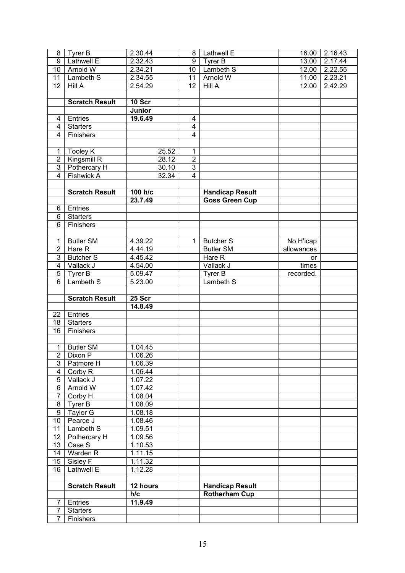| 8                                | Tyrer B                        | 2.30.44              | 8                             | Lathwell E             | 16.00      | $2.16.\overline{43}$ |
|----------------------------------|--------------------------------|----------------------|-------------------------------|------------------------|------------|----------------------|
| $\overline{9}$                   | Lathwell E                     | 2.32.43              | 9                             | Tyrer B                | 13.00      | 2.17.44              |
| $\overline{10}$                  | Arnold W                       | 2.34.21              | 10 <sup>1</sup>               | Lambeth S              |            | 12.00 2.22.55        |
| $\overline{11}$                  | Lambeth S                      | 2.34.55              | 11                            | Arnold W               |            | 11.00 2.23.21        |
| 12                               | Hill A                         | 2.54.29              | 12 <sup>2</sup>               | Hill A                 | 12.00      | 2.42.29              |
|                                  |                                |                      |                               |                        |            |                      |
|                                  | <b>Scratch Result</b>          | 10 Scr               |                               |                        |            |                      |
|                                  |                                | Junior               |                               |                        |            |                      |
| 4                                | Entries                        | 19.6.49              | $\overline{4}$                |                        |            |                      |
| 4                                | <b>Starters</b>                |                      | $\overline{4}$                |                        |            |                      |
| 4                                | Finishers                      |                      | $\overline{\mathbf{4}}$       |                        |            |                      |
|                                  |                                |                      |                               |                        |            |                      |
| 1<br>$\overline{2}$              | <b>Tooley K</b><br>Kingsmill R | 25.52                | $\mathbf 1$<br>$\overline{2}$ |                        |            |                      |
| $\overline{3}$                   | Pothercary H                   | 28.12<br>30.10       | $\overline{3}$                |                        |            |                      |
| $\overline{4}$                   | Fishwick A                     | 32.34                | $\overline{4}$                |                        |            |                      |
|                                  |                                |                      |                               |                        |            |                      |
|                                  | <b>Scratch Result</b>          | 100 h/c              |                               | <b>Handicap Result</b> |            |                      |
|                                  |                                | 23.7.49              |                               | <b>Goss Green Cup</b>  |            |                      |
| 6                                | Entries                        |                      |                               |                        |            |                      |
| 6                                | <b>Starters</b>                |                      |                               |                        |            |                      |
| $\overline{6}$                   | Finishers                      |                      |                               |                        |            |                      |
|                                  |                                |                      |                               |                        |            |                      |
| 1                                | <b>Butler SM</b>               | 4.39.22              | $\mathbf{1}$                  | <b>Butcher S</b>       | No H'icap  |                      |
| $\overline{2}$                   | Hare R                         | 4.44.19              |                               | <b>Butler SM</b>       | allowances |                      |
| $\overline{3}$                   | <b>Butcher S</b>               | 4.45.42              |                               | Hare R                 | or         |                      |
| 4                                | Vallack J                      | 4.54.00              |                               | Vallack J              | times      |                      |
| $\overline{5}$                   | Tyrer B                        | 5.09.47              |                               | Tyrer B                | recorded.  |                      |
| $\overline{6}$                   | Lambeth S                      | $\overline{5.23.00}$ |                               | Lambeth S              |            |                      |
|                                  |                                |                      |                               |                        |            |                      |
|                                  |                                |                      |                               |                        |            |                      |
|                                  | <b>Scratch Result</b>          | 25 Scr               |                               |                        |            |                      |
|                                  |                                | 14.8.49              |                               |                        |            |                      |
| 22                               | <b>Entries</b>                 |                      |                               |                        |            |                      |
| 18                               | <b>Starters</b>                |                      |                               |                        |            |                      |
| 16                               | Finishers                      |                      |                               |                        |            |                      |
|                                  |                                |                      |                               |                        |            |                      |
| $\mathbf{1}$                     | <b>Butler SM</b>               | 1.04.45              |                               |                        |            |                      |
| $\overline{2}$                   | Dixon P                        | 1.06.26              |                               |                        |            |                      |
| $\overline{3}$                   | Patmore H                      | 1.06.39              |                               |                        |            |                      |
| 4                                | Corby R                        | 1.06.44              |                               |                        |            |                      |
| $\overline{5}$<br>$\overline{6}$ | Vallack J<br>Arnold W          | 1.07.22              |                               |                        |            |                      |
| $\overline{7}$                   | Corby H                        | 1.07.42<br>1.08.04   |                               |                        |            |                      |
| $\bf 8$                          | Tyrer B                        | 1.08.09              |                               |                        |            |                      |
| $\overline{9}$                   | Taylor G                       | 1.08.18              |                               |                        |            |                      |
| 10                               | Pearce J                       | 1.08.46              |                               |                        |            |                      |
| 11                               | Lambeth S                      | 1.09.51              |                               |                        |            |                      |
| 12                               | Pothercary H                   | 1.09.56              |                               |                        |            |                      |
| 13                               | Case S                         | 1.10.53              |                               |                        |            |                      |
| 14                               | Warden R                       | 1.11.15              |                               |                        |            |                      |
| 15                               | Sisley F                       | 1.11.32              |                               |                        |            |                      |
| 16                               | Lathwell E                     | 1.12.28              |                               |                        |            |                      |
|                                  |                                |                      |                               |                        |            |                      |
|                                  | <b>Scratch Result</b>          | 12 hours             |                               | <b>Handicap Result</b> |            |                      |
|                                  |                                | h/c                  |                               | <b>Rotherham Cup</b>   |            |                      |
| 7                                | Entries                        | 11.9.49              |                               |                        |            |                      |
| $\overline{7}$<br>$\overline{7}$ | <b>Starters</b><br>Finishers   |                      |                               |                        |            |                      |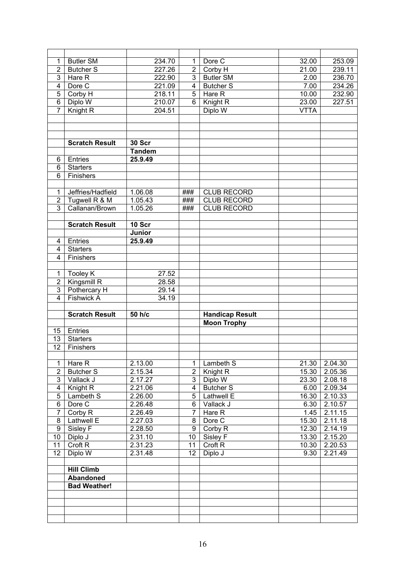| 1                       | <b>Butler SM</b>      | 234.70              | 1                | Dore C                 | 32.00       | 253.09        |
|-------------------------|-----------------------|---------------------|------------------|------------------------|-------------|---------------|
| $\overline{2}$          | <b>Butcher S</b>      | 227.26              | $\overline{2}$   | Corby H                | 21.00       | 239.11        |
| $\overline{3}$          | Hare $\overline{R}$   | 222.90              | $\overline{3}$   | <b>Butler SM</b>       | 2.00        | 236.70        |
| $\overline{4}$          | Dore C                | 221.09              | $\overline{4}$   | <b>Butcher S</b>       | 7.00        | 234.26        |
| 5                       | Corby H               | $2\overline{18.11}$ | 5                | Hare $\overline{R}$    | 10.00       | 232.90        |
| $\overline{6}$          | Diplo W               | 210.07              | 6                | Knight R               | 23.00       | 227.51        |
| $\overline{7}$          | Knight R              | 204.51              |                  | Diplo W                | <b>VTTA</b> |               |
|                         |                       |                     |                  |                        |             |               |
|                         |                       |                     |                  |                        |             |               |
|                         |                       |                     |                  |                        |             |               |
|                         | <b>Scratch Result</b> | <b>30 Scr</b>       |                  |                        |             |               |
|                         |                       | <b>Tandem</b>       |                  |                        |             |               |
| 6                       | Entries               | 25.9.49             |                  |                        |             |               |
| 6                       | <b>Starters</b>       |                     |                  |                        |             |               |
| $\overline{6}$          | Finishers             |                     |                  |                        |             |               |
|                         |                       |                     |                  |                        |             |               |
| 1                       | Jeffries/Hadfield     | 1.06.08             | ###              | <b>CLUB RECORD</b>     |             |               |
| $\overline{2}$          | Tugwell R & M         | 1.05.43             | ###              | <b>CLUB RECORD</b>     |             |               |
| $\overline{3}$          | Callanan/Brown        | 1.05.26             | ###              | <b>CLUB RECORD</b>     |             |               |
|                         |                       |                     |                  |                        |             |               |
|                         | <b>Scratch Result</b> | 10 Scr              |                  |                        |             |               |
|                         |                       | <b>Junior</b>       |                  |                        |             |               |
|                         | Entries               |                     |                  |                        |             |               |
| 4                       |                       | 25.9.49             |                  |                        |             |               |
| $\overline{4}$          | <b>Starters</b>       |                     |                  |                        |             |               |
| 4                       | Finishers             |                     |                  |                        |             |               |
|                         |                       |                     |                  |                        |             |               |
| 1                       | <b>Tooley K</b>       | 27.52               |                  |                        |             |               |
| $\overline{2}$          | Kingsmill R           | 28.58               |                  |                        |             |               |
|                         |                       |                     |                  |                        |             |               |
| $\overline{3}$          | Pothercary H          | 29.14               |                  |                        |             |               |
| $\overline{4}$          | <b>Fishwick A</b>     | 34.19               |                  |                        |             |               |
|                         |                       |                     |                  |                        |             |               |
|                         | <b>Scratch Result</b> | 50 h/c              |                  | <b>Handicap Result</b> |             |               |
|                         |                       |                     |                  | <b>Moon Trophy</b>     |             |               |
| 15                      | Entries               |                     |                  |                        |             |               |
| $\overline{13}$         | <b>Starters</b>       |                     |                  |                        |             |               |
| $\overline{12}$         | Finishers             |                     |                  |                        |             |               |
|                         |                       |                     |                  |                        |             |               |
| 1                       | Hare R                | 2.13.00             | $\mathbf 1$      | Lambeth S              |             | 21.30 2.04.30 |
| $\overline{2}$          | <b>Butcher S</b>      | 2.15.34             | 2 <sup>1</sup>   | Knight <sub>R</sub>    | 15.30       | 2.05.36       |
| $\overline{3}$          | Vallack J             | 2.17.27             | 3 <sup>1</sup>   | Diplo W                | 23.30       | 2.08.18       |
| $\overline{\mathbf{4}}$ | Knight R              | 2.21.06             | $\overline{4}$   | <b>Butcher S</b>       | 6.00        | 2.09.34       |
| 5                       | Lambeth S             | 2.26.00             | 5 <sup>5</sup>   | Lathwell E             | 16.30       | 2.10.33       |
| 6                       | Dore C                | 2.26.48             | 6                | Vallack J              | 6.30        | 2.10.57       |
| $\overline{7}$          | Corby R               | 2.26.49             | $\overline{7}$   | Hare R                 | 1.45        | 2.11.15       |
| 8                       | Lathwell E            | 2.27.03             | 8                | Dore C                 | 15.30       | 2.11.18       |
| $\boldsymbol{9}$        | Sisley F              | 2.28.50             | 9                | Corby R                | 12.30       | 2.14.19       |
| 10                      | Diplo J               | 2.31.10             | 10 <sup>1</sup>  | Sisley F               | 13.30       | 2.15.20       |
| 11                      | Croft <sub>R</sub>    | 2.31.23             | 11               | Croft <sub>R</sub>     | 10.30       | 2.20.53       |
| 12                      | Diplo W               | 2.31.48             | 12 <sup>12</sup> | Diplo J                | 9.30        | 2.21.49       |
|                         |                       |                     |                  |                        |             |               |
|                         | <b>Hill Climb</b>     |                     |                  |                        |             |               |
|                         | Abandoned             |                     |                  |                        |             |               |
|                         | <b>Bad Weather!</b>   |                     |                  |                        |             |               |
|                         |                       |                     |                  |                        |             |               |
|                         |                       |                     |                  |                        |             |               |
|                         |                       |                     |                  |                        |             |               |